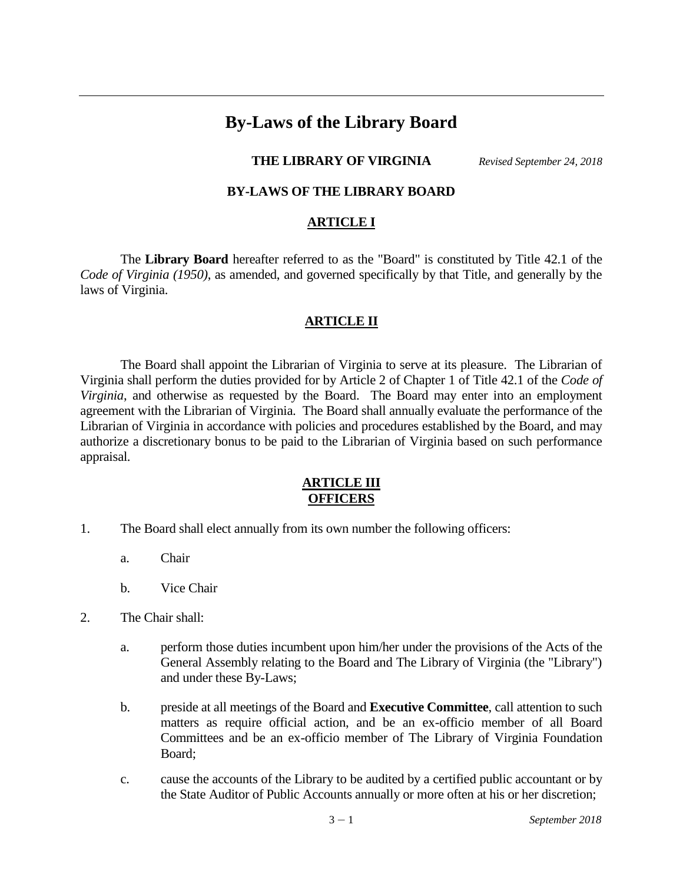# **By-Laws of the Library Board**

# **THE LIBRARY OF VIRGINIA** *Revised September 24, 2018*

# **BY-LAWS OF THE LIBRARY BOARD**

#### **ARTICLE I**

The **Library Board** hereafter referred to as the "Board" is constituted by Title 42.1 of the *Code of Virginia (1950)*, as amended, and governed specifically by that Title, and generally by the laws of Virginia.

# **ARTICLE II**

The Board shall appoint the Librarian of Virginia to serve at its pleasure. The Librarian of Virginia shall perform the duties provided for by Article 2 of Chapter 1 of Title 42.1 of the *Code of Virginia*, and otherwise as requested by the Board. The Board may enter into an employment agreement with the Librarian of Virginia. The Board shall annually evaluate the performance of the Librarian of Virginia in accordance with policies and procedures established by the Board, and may authorize a discretionary bonus to be paid to the Librarian of Virginia based on such performance appraisal.

# **ARTICLE III OFFICERS**

- 1. The Board shall elect annually from its own number the following officers:
	- a. Chair
	- b. Vice Chair
- 2. The Chair shall:
	- a. perform those duties incumbent upon him/her under the provisions of the Acts of the General Assembly relating to the Board and The Library of Virginia (the "Library") and under these By-Laws;
	- b. preside at all meetings of the Board and **Executive Committee**, call attention to such matters as require official action, and be an ex-officio member of all Board Committees and be an ex-officio member of The Library of Virginia Foundation Board;
	- c. cause the accounts of the Library to be audited by a certified public accountant or by the State Auditor of Public Accounts annually or more often at his or her discretion;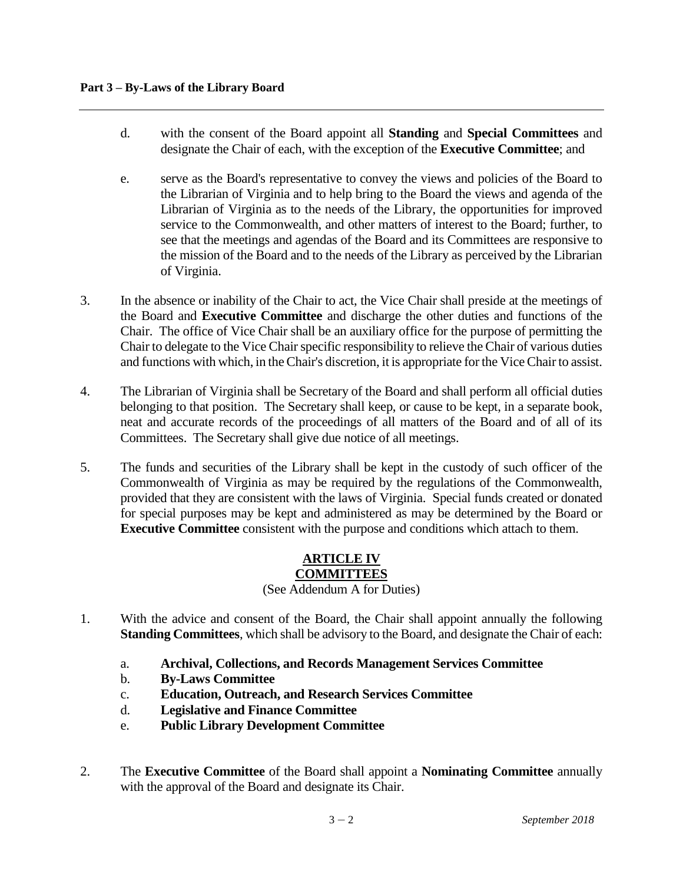- d. with the consent of the Board appoint all **Standing** and **Special Committees** and designate the Chair of each, with the exception of the **Executive Committee**; and
- e. serve as the Board's representative to convey the views and policies of the Board to the Librarian of Virginia and to help bring to the Board the views and agenda of the Librarian of Virginia as to the needs of the Library, the opportunities for improved service to the Commonwealth, and other matters of interest to the Board; further, to see that the meetings and agendas of the Board and its Committees are responsive to the mission of the Board and to the needs of the Library as perceived by the Librarian of Virginia.
- 3. In the absence or inability of the Chair to act, the Vice Chair shall preside at the meetings of the Board and **Executive Committee** and discharge the other duties and functions of the Chair. The office of Vice Chair shall be an auxiliary office for the purpose of permitting the Chair to delegate to the Vice Chair specific responsibility to relieve the Chair of various duties and functions with which, in the Chair's discretion, it is appropriate for the Vice Chair to assist.
- 4. The Librarian of Virginia shall be Secretary of the Board and shall perform all official duties belonging to that position. The Secretary shall keep, or cause to be kept, in a separate book, neat and accurate records of the proceedings of all matters of the Board and of all of its Committees. The Secretary shall give due notice of all meetings.
- 5. The funds and securities of the Library shall be kept in the custody of such officer of the Commonwealth of Virginia as may be required by the regulations of the Commonwealth, provided that they are consistent with the laws of Virginia. Special funds created or donated for special purposes may be kept and administered as may be determined by the Board or **Executive Committee** consistent with the purpose and conditions which attach to them.

#### **ARTICLE IV COMMITTEES** (See Addendum A for Duties)

- 1. With the advice and consent of the Board, the Chair shall appoint annually the following **Standing Committees**, which shall be advisory to the Board, and designate the Chair of each:
	- a. **Archival, Collections, and Records Management Services Committee**
	- b. **By-Laws Committee**
	- c. **Education, Outreach, and Research Services Committee**
	- d. **Legislative and Finance Committee**
	- e. **Public Library Development Committee**
- 2. The **Executive Committee** of the Board shall appoint a **Nominating Committee** annually with the approval of the Board and designate its Chair.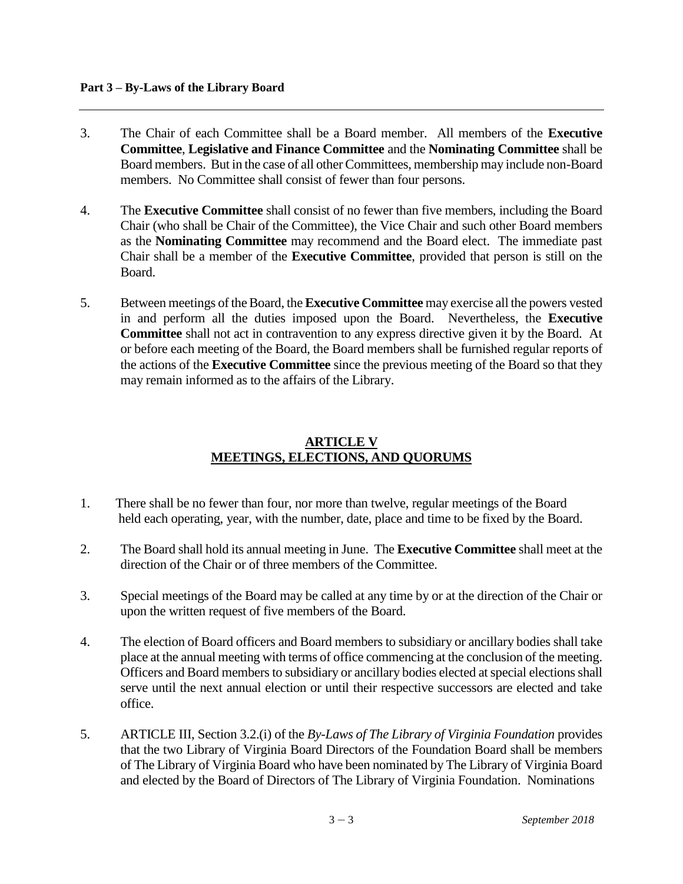- 3. The Chair of each Committee shall be a Board member. All members of the **Executive Committee**, **Legislative and Finance Committee** and the **Nominating Committee** shall be Board members. But in the case of all other Committees, membership may include non-Board members. No Committee shall consist of fewer than four persons.
- 4. The **Executive Committee** shall consist of no fewer than five members, including the Board Chair (who shall be Chair of the Committee), the Vice Chair and such other Board members as the **Nominating Committee** may recommend and the Board elect. The immediate past Chair shall be a member of the **Executive Committee**, provided that person is still on the Board.
- 5. Between meetings of the Board, the **Executive Committee** may exercise all the powers vested in and perform all the duties imposed upon the Board. Nevertheless, the **Executive Committee** shall not act in contravention to any express directive given it by the Board. At or before each meeting of the Board, the Board members shall be furnished regular reports of the actions of the **Executive Committee** since the previous meeting of the Board so that they may remain informed as to the affairs of the Library.

# **ARTICLE V MEETINGS, ELECTIONS, AND QUORUMS**

- 1. There shall be no fewer than four, nor more than twelve, regular meetings of the Board held each operating, year, with the number, date, place and time to be fixed by the Board.
- 2. The Board shall hold its annual meeting in June. The **Executive Committee** shall meet at the direction of the Chair or of three members of the Committee.
- 3. Special meetings of the Board may be called at any time by or at the direction of the Chair or upon the written request of five members of the Board.
- 4. The election of Board officers and Board members to subsidiary or ancillary bodies shall take place at the annual meeting with terms of office commencing at the conclusion of the meeting. Officers and Board members to subsidiary or ancillary bodies elected at special elections shall serve until the next annual election or until their respective successors are elected and take office.
- 5. ARTICLE III, Section 3.2.(i) of the *By-Laws of The Library of Virginia Foundation* provides that the two Library of Virginia Board Directors of the Foundation Board shall be members of The Library of Virginia Board who have been nominated by The Library of Virginia Board and elected by the Board of Directors of The Library of Virginia Foundation. Nominations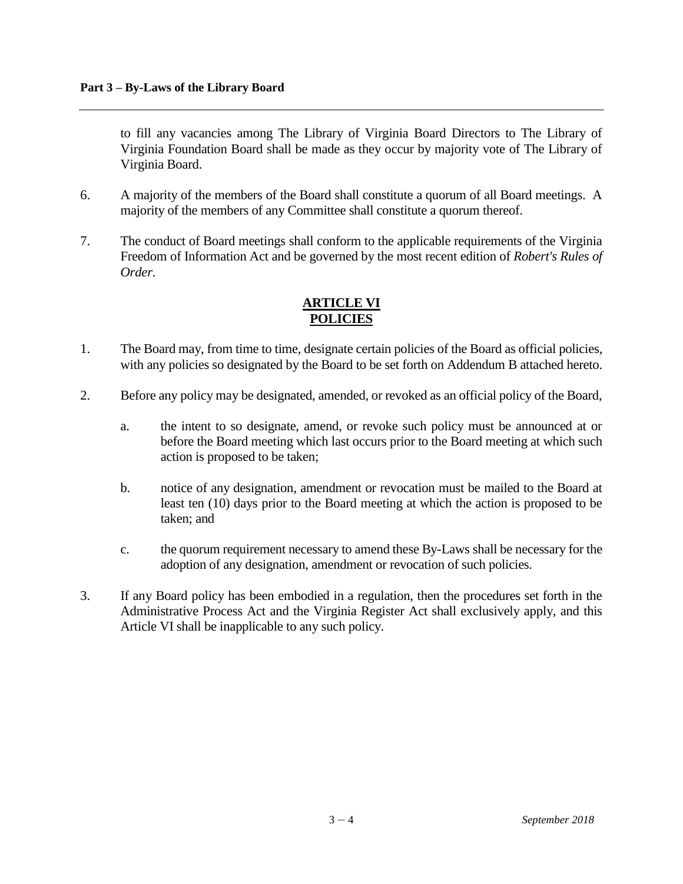to fill any vacancies among The Library of Virginia Board Directors to The Library of Virginia Foundation Board shall be made as they occur by majority vote of The Library of Virginia Board.

- 6. A majority of the members of the Board shall constitute a quorum of all Board meetings. A majority of the members of any Committee shall constitute a quorum thereof.
- 7. The conduct of Board meetings shall conform to the applicable requirements of the Virginia Freedom of Information Act and be governed by the most recent edition of *Robert's Rules of Order*.

# **ARTICLE VI POLICIES**

- 1. The Board may, from time to time, designate certain policies of the Board as official policies, with any policies so designated by the Board to be set forth on Addendum B attached hereto.
- 2. Before any policy may be designated, amended, or revoked as an official policy of the Board,
	- a. the intent to so designate, amend, or revoke such policy must be announced at or before the Board meeting which last occurs prior to the Board meeting at which such action is proposed to be taken;
	- b. notice of any designation, amendment or revocation must be mailed to the Board at least ten (10) days prior to the Board meeting at which the action is proposed to be taken; and
	- c. the quorum requirement necessary to amend these By-Laws shall be necessary for the adoption of any designation, amendment or revocation of such policies.
- 3. If any Board policy has been embodied in a regulation, then the procedures set forth in the Administrative Process Act and the Virginia Register Act shall exclusively apply, and this Article VI shall be inapplicable to any such policy.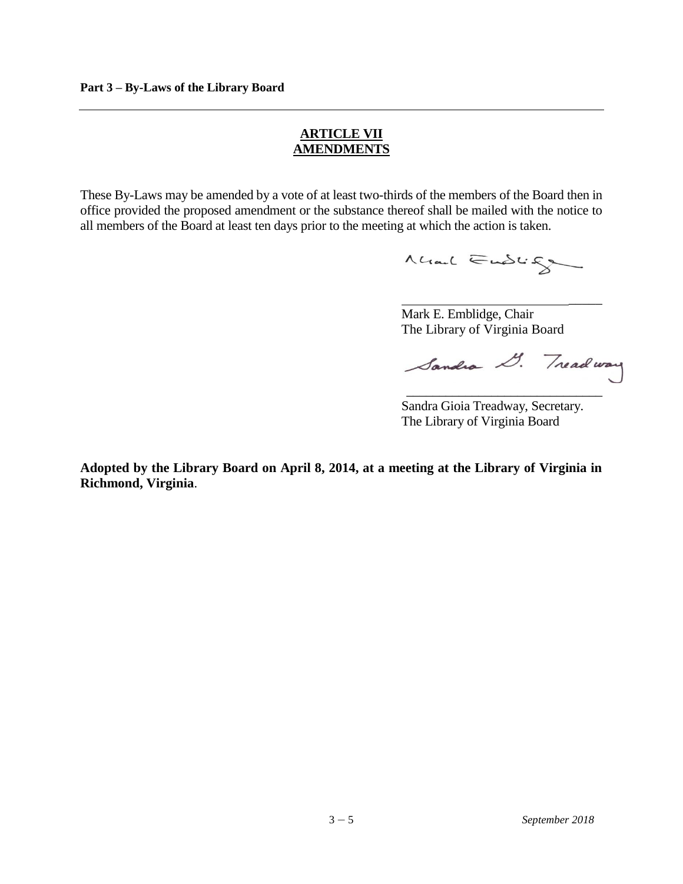#### **ARTICLE VII AMENDMENTS**

These By-Laws may be amended by a vote of at least two-thirds of the members of the Board then in office provided the proposed amendment or the substance thereof shall be mailed with the notice to all members of the Board at least ten days prior to the meeting at which the action is taken.

Mal Endig

Mark E. Emblidge, Chair The Library of Virginia Board

Sandra D. Treadway \_\_\_\_\_\_\_\_\_\_\_\_\_\_\_\_\_\_\_\_\_\_\_\_\_\_\_\_\_\_

 $\overline{\phantom{a}}$ 

Sandra Gioia Treadway, Secretary. The Library of Virginia Board

**Adopted by the Library Board on April 8, 2014, at a meeting at the Library of Virginia in Richmond, Virginia**.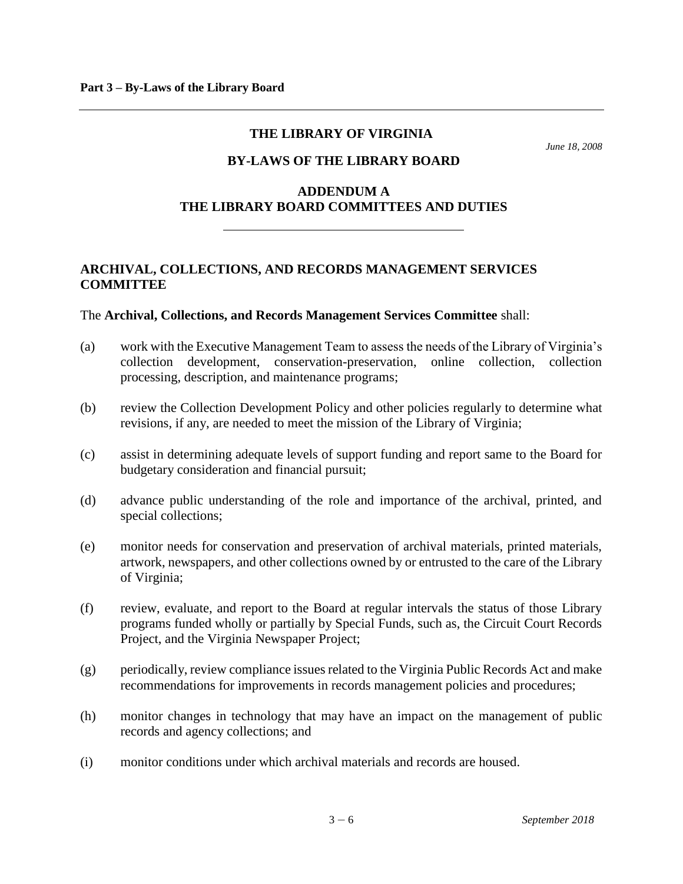#### **THE LIBRARY OF VIRGINIA**

*June 18, 2008*

# **BY-LAWS OF THE LIBRARY BOARD**

# **ADDENDUM A THE LIBRARY BOARD COMMITTEES AND DUTIES**

# **ARCHIVAL, COLLECTIONS, AND RECORDS MANAGEMENT SERVICES COMMITTEE**

#### The **Archival, Collections, and Records Management Services Committee** shall:

- (a) work with the Executive Management Team to assess the needs of the Library of Virginia's collection development, conservation-preservation, online collection, collection processing, description, and maintenance programs;
- (b) review the Collection Development Policy and other policies regularly to determine what revisions, if any, are needed to meet the mission of the Library of Virginia;
- (c) assist in determining adequate levels of support funding and report same to the Board for budgetary consideration and financial pursuit;
- (d) advance public understanding of the role and importance of the archival, printed, and special collections;
- (e) monitor needs for conservation and preservation of archival materials, printed materials, artwork, newspapers, and other collections owned by or entrusted to the care of the Library of Virginia;
- (f) review, evaluate, and report to the Board at regular intervals the status of those Library programs funded wholly or partially by Special Funds, such as, the Circuit Court Records Project, and the Virginia Newspaper Project;
- (g) periodically, review compliance issues related to the Virginia Public Records Act and make recommendations for improvements in records management policies and procedures;
- (h) monitor changes in technology that may have an impact on the management of public records and agency collections; and
- (i) monitor conditions under which archival materials and records are housed.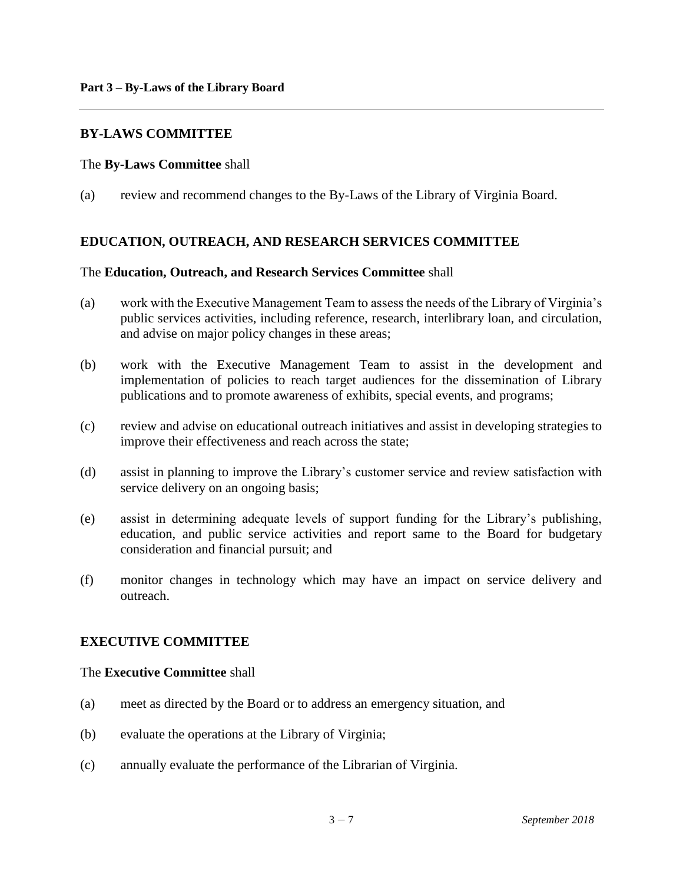#### **BY-LAWS COMMITTEE**

#### The **By-Laws Committee** shall

(a) review and recommend changes to the By-Laws of the Library of Virginia Board.

#### **EDUCATION, OUTREACH, AND RESEARCH SERVICES COMMITTEE**

#### The **Education, Outreach, and Research Services Committee** shall

- (a) work with the Executive Management Team to assess the needs of the Library of Virginia's public services activities, including reference, research, interlibrary loan, and circulation, and advise on major policy changes in these areas;
- (b) work with the Executive Management Team to assist in the development and implementation of policies to reach target audiences for the dissemination of Library publications and to promote awareness of exhibits, special events, and programs;
- (c) review and advise on educational outreach initiatives and assist in developing strategies to improve their effectiveness and reach across the state;
- (d) assist in planning to improve the Library's customer service and review satisfaction with service delivery on an ongoing basis;
- (e) assist in determining adequate levels of support funding for the Library's publishing, education, and public service activities and report same to the Board for budgetary consideration and financial pursuit; and
- (f) monitor changes in technology which may have an impact on service delivery and outreach.

#### **EXECUTIVE COMMITTEE**

#### The **Executive Committee** shall

- (a) meet as directed by the Board or to address an emergency situation, and
- (b) evaluate the operations at the Library of Virginia;
- (c) annually evaluate the performance of the Librarian of Virginia.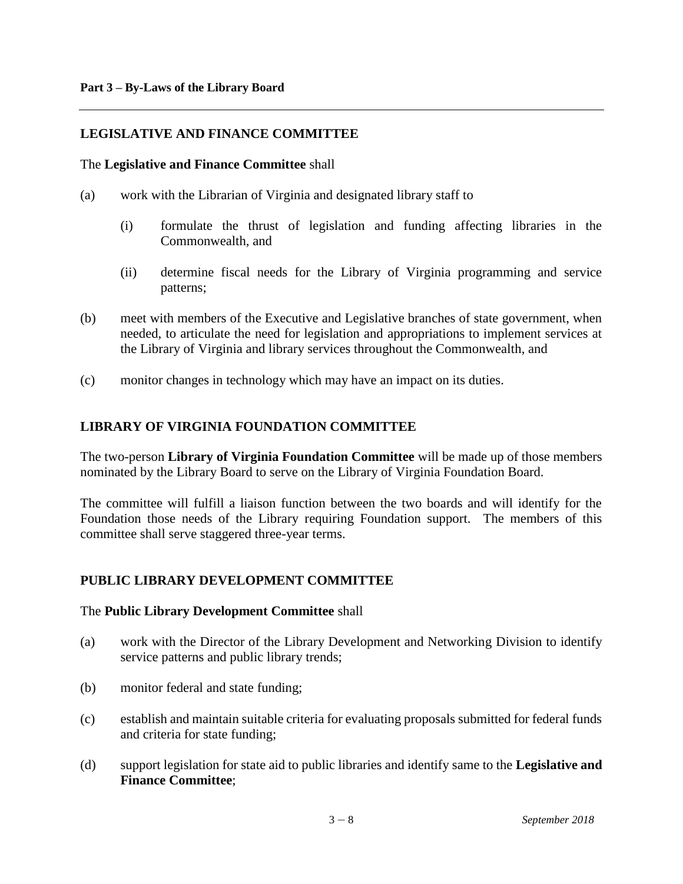# **LEGISLATIVE AND FINANCE COMMITTEE**

#### The **Legislative and Finance Committee** shall

- (a) work with the Librarian of Virginia and designated library staff to
	- (i) formulate the thrust of legislation and funding affecting libraries in the Commonwealth, and
	- (ii) determine fiscal needs for the Library of Virginia programming and service patterns;
- (b) meet with members of the Executive and Legislative branches of state government, when needed, to articulate the need for legislation and appropriations to implement services at the Library of Virginia and library services throughout the Commonwealth, and
- (c) monitor changes in technology which may have an impact on its duties.

# **LIBRARY OF VIRGINIA FOUNDATION COMMITTEE**

The two-person **Library of Virginia Foundation Committee** will be made up of those members nominated by the Library Board to serve on the Library of Virginia Foundation Board.

The committee will fulfill a liaison function between the two boards and will identify for the Foundation those needs of the Library requiring Foundation support. The members of this committee shall serve staggered three-year terms.

#### **PUBLIC LIBRARY DEVELOPMENT COMMITTEE**

#### The **Public Library Development Committee** shall

- (a) work with the Director of the Library Development and Networking Division to identify service patterns and public library trends;
- (b) monitor federal and state funding;
- (c) establish and maintain suitable criteria for evaluating proposals submitted for federal funds and criteria for state funding;
- (d) support legislation for state aid to public libraries and identify same to the **Legislative and Finance Committee**;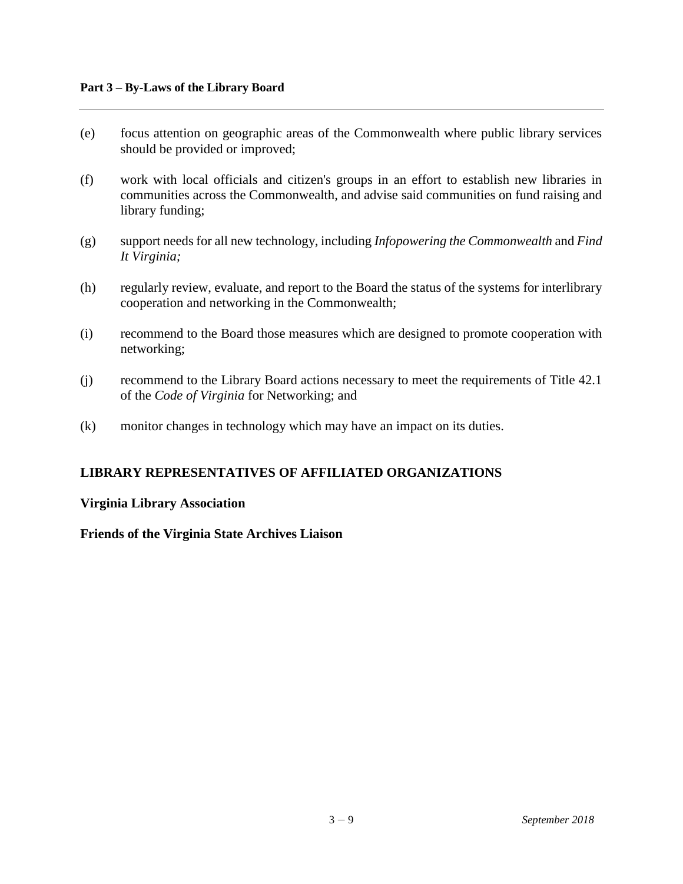- (e) focus attention on geographic areas of the Commonwealth where public library services should be provided or improved;
- (f) work with local officials and citizen's groups in an effort to establish new libraries in communities across the Commonwealth, and advise said communities on fund raising and library funding;
- (g) support needs for all new technology, including *Infopowering the Commonwealth* and *Find It Virginia;*
- (h) regularly review, evaluate, and report to the Board the status of the systems for interlibrary cooperation and networking in the Commonwealth;
- (i) recommend to the Board those measures which are designed to promote cooperation with networking;
- (j) recommend to the Library Board actions necessary to meet the requirements of Title 42.1 of the *Code of Virginia* for Networking; and
- (k) monitor changes in technology which may have an impact on its duties.

# **LIBRARY REPRESENTATIVES OF AFFILIATED ORGANIZATIONS**

#### **Virginia Library Association**

**Friends of the Virginia State Archives Liaison**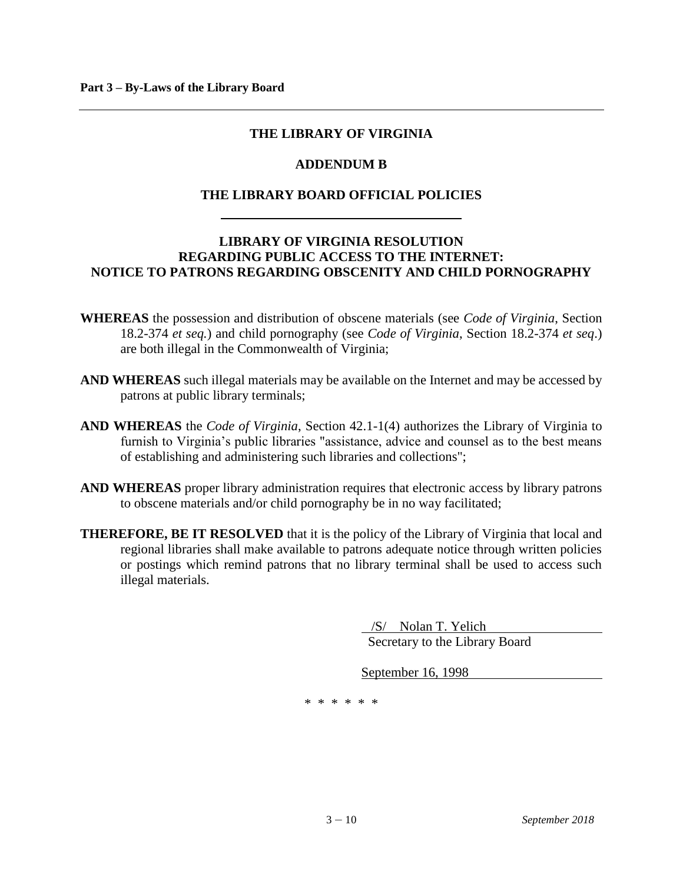#### **THE LIBRARY OF VIRGINIA**

#### **ADDENDUM B**

# **THE LIBRARY BOARD OFFICIAL POLICIES**

# **LIBRARY OF VIRGINIA RESOLUTION REGARDING PUBLIC ACCESS TO THE INTERNET: NOTICE TO PATRONS REGARDING OBSCENITY AND CHILD PORNOGRAPHY**

- **WHEREAS** the possession and distribution of obscene materials (see *Code of Virginia*, Section 18.2-374 *et seq.*) and child pornography (see *Code of Virginia*, Section 18.2-374 *et seq*.) are both illegal in the Commonwealth of Virginia;
- **AND WHEREAS** such illegal materials may be available on the Internet and may be accessed by patrons at public library terminals;
- **AND WHEREAS** the *Code of Virginia*, Section 42.1-1(4) authorizes the Library of Virginia to furnish to Virginia's public libraries "assistance, advice and counsel as to the best means of establishing and administering such libraries and collections";
- **AND WHEREAS** proper library administration requires that electronic access by library patrons to obscene materials and/or child pornography be in no way facilitated;
- **THEREFORE, BE IT RESOLVED** that it is the policy of the Library of Virginia that local and regional libraries shall make available to patrons adequate notice through written policies or postings which remind patrons that no library terminal shall be used to access such illegal materials.

 /S/ Nolan T. Yelich Secretary to the Library Board

September 16, 1998

\* \* \* \* \* \*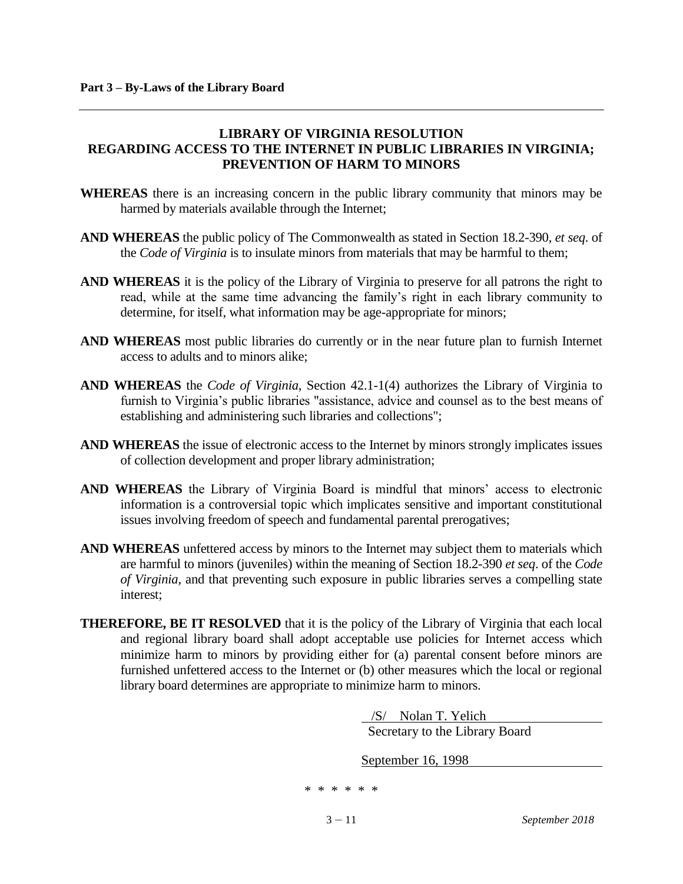# **LIBRARY OF VIRGINIA RESOLUTION REGARDING ACCESS TO THE INTERNET IN PUBLIC LIBRARIES IN VIRGINIA; PREVENTION OF HARM TO MINORS**

- **WHEREAS** there is an increasing concern in the public library community that minors may be harmed by materials available through the Internet;
- **AND WHEREAS** the public policy of The Commonwealth as stated in Section 18.2-390, *et seq*. of the *Code of Virginia* is to insulate minors from materials that may be harmful to them;
- **AND WHEREAS** it is the policy of the Library of Virginia to preserve for all patrons the right to read, while at the same time advancing the family's right in each library community to determine, for itself, what information may be age-appropriate for minors;
- **AND WHEREAS** most public libraries do currently or in the near future plan to furnish Internet access to adults and to minors alike;
- **AND WHEREAS** the *Code of Virginia*, Section 42.1-1(4) authorizes the Library of Virginia to furnish to Virginia's public libraries "assistance, advice and counsel as to the best means of establishing and administering such libraries and collections";
- **AND WHEREAS** the issue of electronic access to the Internet by minors strongly implicates issues of collection development and proper library administration;
- **AND WHEREAS** the Library of Virginia Board is mindful that minors' access to electronic information is a controversial topic which implicates sensitive and important constitutional issues involving freedom of speech and fundamental parental prerogatives;
- **AND WHEREAS** unfettered access by minors to the Internet may subject them to materials which are harmful to minors (juveniles) within the meaning of Section 18.2-390 *et seq*. of the *Code of Virginia*, and that preventing such exposure in public libraries serves a compelling state interest;
- **THEREFORE, BE IT RESOLVED** that it is the policy of the Library of Virginia that each local and regional library board shall adopt acceptable use policies for Internet access which minimize harm to minors by providing either for (a) parental consent before minors are furnished unfettered access to the Internet or (b) other measures which the local or regional library board determines are appropriate to minimize harm to minors.

 /S/ Nolan T. Yelich Secretary to the Library Board

September 16, 1998

\* \* \* \* \* \*